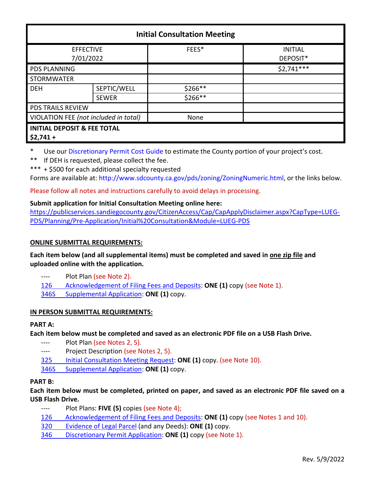| <b>Initial Consultation Meeting</b>                 |              |         |                            |
|-----------------------------------------------------|--------------|---------|----------------------------|
| <b>EFFECTIVE</b><br>7/01/2022                       |              | FEES*   | <b>INITIAL</b><br>DEPOSIT* |
| <b>PDS PLANNING</b>                                 |              |         | $$2,741***$                |
| <b>STORMWATER</b>                                   |              |         |                            |
| <b>DEH</b>                                          | SEPTIC/WELL  | \$266** |                            |
|                                                     | <b>SEWER</b> | \$266** |                            |
| <b>PDS TRAILS REVIEW</b>                            |              |         |                            |
| VIOLATION FEE (not included in total)               |              | None    |                            |
| <b>INITIAL DEPOSIT &amp; FEE TOTAL</b><br>$$2,741+$ |              |         |                            |

\* Use ou[r Discretionary Permit Cost Guide](http://www.sandiegocounty.gov/content/dam/sdc/pds/docs/Discretionary_Permit_Cost_Guide.xlsx) to estimate the County portion of your project's cost.

\*\* If DEH is requested, please collect the fee.

\*\*\* + \$500 for each additional specialty requested

Forms are available at[: http://www.sdcounty.ca.gov/pds/zoning/ZoningNumeric.html,](http://www.sdcounty.ca.gov/pds/zoning/ZoningNumeric.html) or the links below.

Please follow all notes and instructions carefully to avoid delays in processing.

## **Submit application for Initial Consultation Meeting online here:**

[https://publicservices.sandiegocounty.gov/CitizenAccess/Cap/CapApplyDisclaimer.aspx?CapType=LUEG-](https://publicservices.sandiegocounty.gov/CitizenAccess/Cap/CapApplyDisclaimer.aspx?CapType=LUEG-PDS/Planning/Pre-Application/Initial%20Consultation&Module=LUEG-PDS)[PDS/Planning/Pre-Application/Initial%20Consultation&Module=LUEG-PDS](https://publicservices.sandiegocounty.gov/CitizenAccess/Cap/CapApplyDisclaimer.aspx?CapType=LUEG-PDS/Planning/Pre-Application/Initial%20Consultation&Module=LUEG-PDS)

## **ONLINE SUBMITTAL REQUIREMENTS:**

## **Each item below (and all supplemental items) must be completed and saved in one zip file and uploaded online with the application.**

- ---- Plot Plan (see Note 2).
- [126 Acknowledgement of Filing Fees and Deposits:](http://www.sdcounty.ca.gov/pds/zoning/formfields/PDS-PLN-126.pdf) **ONE (1)** copy (see Note 1).

[346S Supplemental Application:](http://www.sdcounty.ca.gov/pds/zoning/formfields/PDS-PLN-346S.pdf) **ONE (1)** copy.

# **IN PERSON SUBMITTAL REQUIREMENTS:**

## **PART A:**

**Each item below must be completed and saved as an electronic PDF file on a USB Flash Drive.**

- ---- Plot Plan (see Notes 2, 5).
- ---- Project Description (see Notes 2, 5).
- 325 [Initial Consultation](http://www.sdcounty.ca.gov/pds/zoning/formfields/PDS-PLN-325.pdf) Meeting Request: **ONE (1)** copy. (see Note 10).
- [346S Supplemental Application:](http://www.sdcounty.ca.gov/pds/zoning/formfields/PDS-PLN-346S.pdf) **ONE (1)** copy.

## **PART B:**

**Each item below must be completed, printed on paper, and saved as an electronic PDF file saved on a USB Flash Drive.**

---- Plot Plans: **FIVE (5)** copies (see Note 4);

[126 Acknowledgement of Filing Fees and Deposits:](http://www.sdcounty.ca.gov/pds/zoning/formfields/PDS-PLN-126.pdf) **ONE (1)** copy (see Notes 1 and 10).

- [320 Evidence of Legal Parcel](http://www.sdcounty.ca.gov/pds/zoning/formfields/PDS-PLN-320.pdf) (and any Deeds): **ONE (1)** copy.
- 346 [Discretionary Permit](http://www.sdcounty.ca.gov/pds/zoning/formfields/PDS-PLN-346.pdf) Application: **ONE (1)** copy (see Note 1).